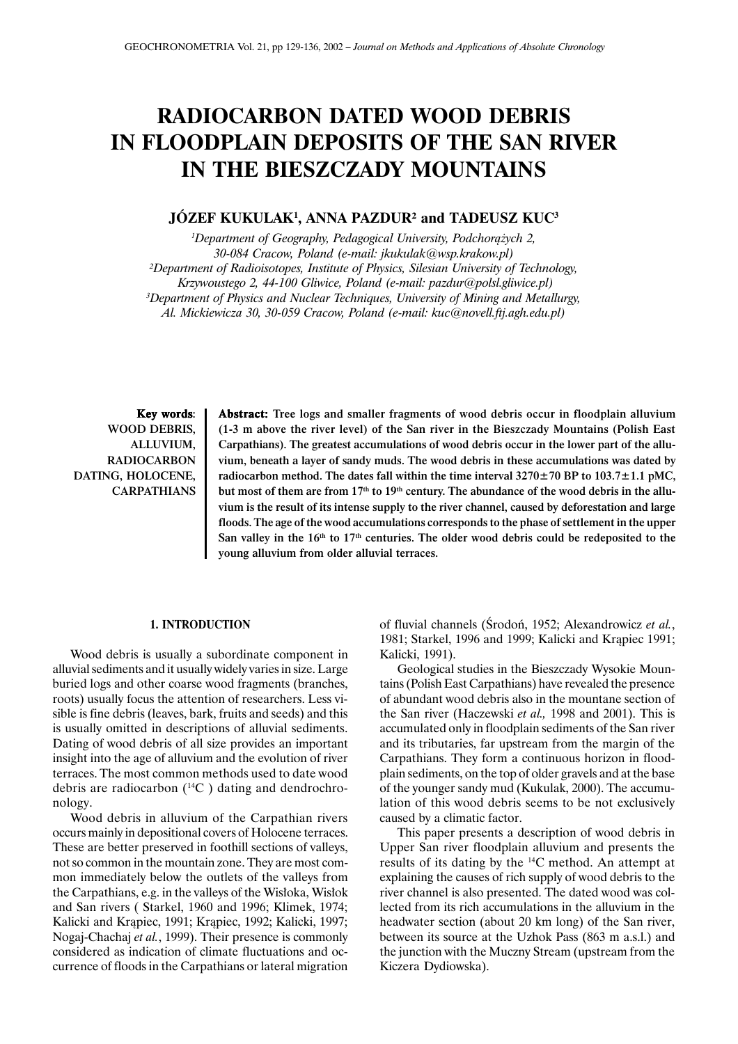# **RADIOCARBON DATED WOOD DEBRIS IN FLOODPLAIN DEPOSITS OF THE SAN RIVER IN THE BIESZCZADY MOUNTAINS**

## **JÓZEF KUKULAK1 , ANNA PAZDUR² and TADEUSZ KUC3**

<sup>1</sup>Department of Geography, Pedagogical University, Podchorążych 2, *30-084 Cracow, Poland (e-mail: jkukulak@wsp.krakow.pl) ²Department of Radioisotopes, Institute of Physics, Silesian University of Technology, Krzywoustego 2, 44-100 Gliwice, Poland (e-mail: pazdur@polsl.gliwice.pl) 3 Department of Physics and Nuclear Techniques, University of Mining and Metallurgy, Al. Mickiewicza 30, 30-059 Cracow, Poland (e-mail: kuc@novell.ftj.agh.edu.pl)*

Key words: WOOD DEBRIS, ALLUVIUM, RADIOCARBON DATING, HOLOCENE, CARPATHIANS

Abstract: Tree logs and smaller fragments of wood debris occur in floodplain alluvium (1-3 m above the river level) of the San river in the Bieszczady Mountains (Polish East Carpathians). The greatest accumulations of wood debris occur in the lower part of the alluvium, beneath a layer of sandy muds. The wood debris in these accumulations was dated by radiocarbon method. The dates fall within the time interval  $3270 \pm 70$  BP to  $103.7 \pm 1.1$  pMC, but most of them are from  $17<sup>th</sup>$  to  $19<sup>th</sup>$  century. The abundance of the wood debris in the alluvium is the result of its intense supply to the river channel, caused by deforestation and large floods. The age of the wood accumulations corresponds to the phase of settlement in the upper San valley in the  $16<sup>th</sup>$  to  $17<sup>th</sup>$  centuries. The older wood debris could be redeposited to the young alluvium from older alluvial terraces.

#### **1. INTRODUCTION**

Wood debris is usually a subordinate component in alluvial sediments and it usually widely varies in size. Large buried logs and other coarse wood fragments (branches, roots) usually focus the attention of researchers. Less visible is fine debris (leaves, bark, fruits and seeds) and this is usually omitted in descriptions of alluvial sediments. Dating of wood debris of all size provides an important insight into the age of alluvium and the evolution of river terraces. The most common methods used to date wood debris are radiocarbon (14C ) dating and dendrochronology.

Wood debris in alluvium of the Carpathian rivers occurs mainly in depositional covers of Holocene terraces. These are better preserved in foothill sections of valleys, not so common in the mountain zone. They are most common immediately below the outlets of the valleys from the Carpathians, e.g. in the valleys of the Wisłoka, Wisłok and San rivers ( Starkel, 1960 and 1996; Klimek, 1974; Kalicki and Krapiec, 1991; Krapiec, 1992; Kalicki, 1997; Nogaj-Chachaj *et al.*, 1999). Their presence is commonly considered as indication of climate fluctuations and occurrence of floods in the Carpathians or lateral migration of fluvial channels (Środoń, 1952; Alexandrowicz et al., 1981; Starkel, 1996 and 1999; Kalicki and Krapiec 1991; Kalicki, 1991).

Geological studies in the Bieszczady Wysokie Mountains (Polish East Carpathians) have revealed the presence of abundant wood debris also in the mountane section of the San river (Haczewski *et al.,* 1998 and 2001). This is accumulated only in floodplain sediments of the San river and its tributaries, far upstream from the margin of the Carpathians. They form a continuous horizon in floodplain sediments, on the top of older gravels and at the base of the younger sandy mud (Kukulak, 2000). The accumulation of this wood debris seems to be not exclusively caused by a climatic factor.

This paper presents a description of wood debris in Upper San river floodplain alluvium and presents the results of its dating by the 14C method. An attempt at explaining the causes of rich supply of wood debris to the river channel is also presented. The dated wood was collected from its rich accumulations in the alluvium in the headwater section (about 20 km long) of the San river, between its source at the Uzhok Pass (863 m a.s.l.) and the junction with the Muczny Stream (upstream from the Kiczera Dydiowska).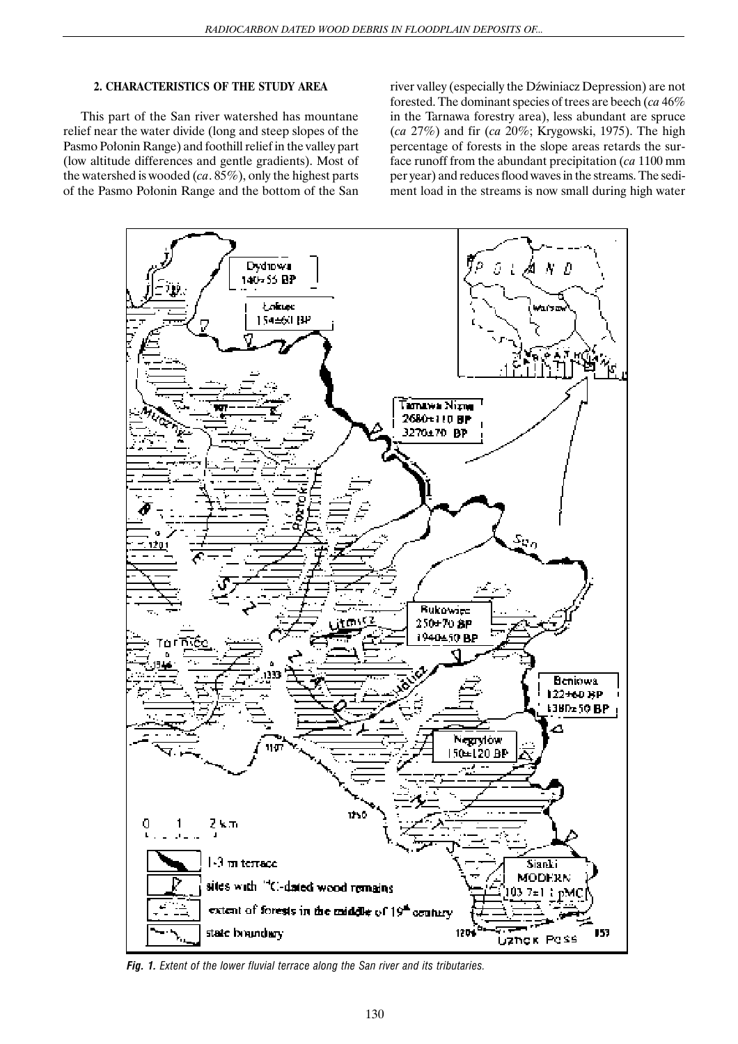### **2. CHARACTERISTICS OF THE STUDY AREA**

This part of the San river watershed has mountane relief near the water divide (long and steep slopes of the Pasmo Połonin Range) and foothill relief in the valley part (low altitude differences and gentle gradients). Most of the watershed is wooded (*ca*. 85%), only the highest parts of the Pasmo Połonin Range and the bottom of the San

river valley (especially the Dźwiniacz Depression) are not forested. The dominant species of trees are beech (*ca* 46% in the Tarnawa forestry area), less abundant are spruce (*ca* 27%) and fir (*ca* 20%; Krygowski, 1975). The high percentage of forests in the slope areas retards the surface runoff from the abundant precipitation (*ca* 1100 mm per year) and reduces flood waves in the streams. The sediment load in the streams is now small during high water



*Fig. 1. Extent of the lower fluvial terrace along the San river and its tributaries.*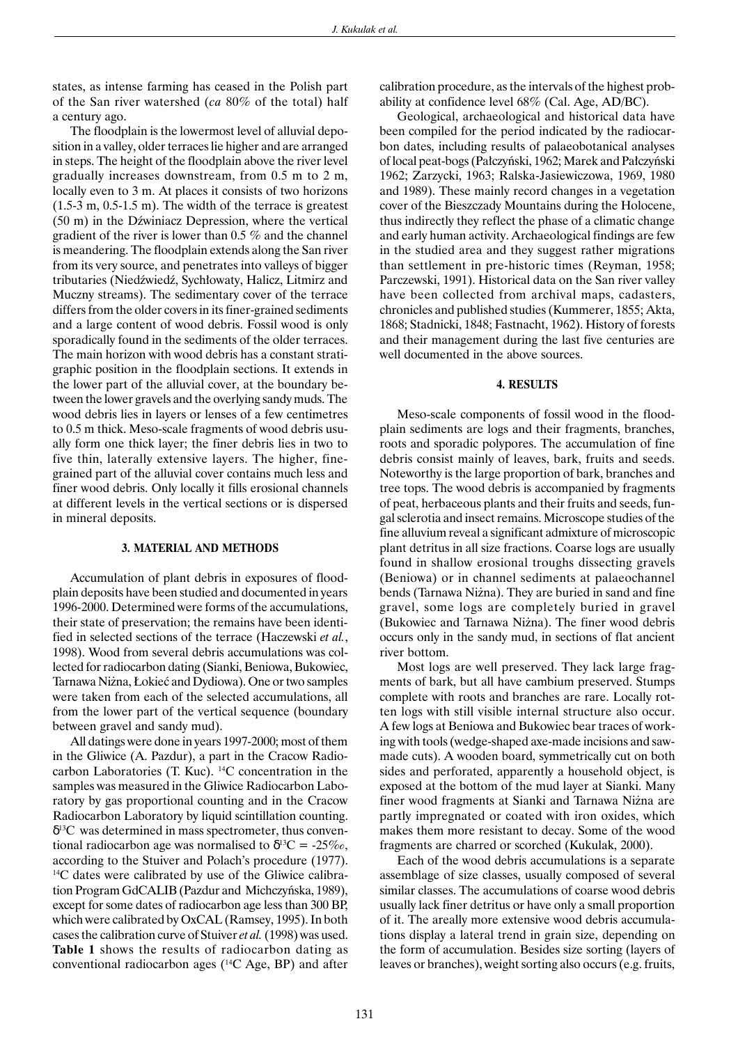states, as intense farming has ceased in the Polish part of the San river watershed (*ca* 80% of the total) half a century ago.

The floodplain is the lowermost level of alluvial deposition in a valley, older terraces lie higher and are arranged in steps. The height of the floodplain above the river level gradually increases downstream, from 0.5 m to 2 m, locally even to 3 m. At places it consists of two horizons (1.5-3 m, 0.5-1.5 m). The width of the terrace is greatest  $(50 \text{ m})$  in the Dźwiniacz Depression, where the vertical gradient of the river is lower than 0.5 % and the channel is meandering. The floodplain extends along the San river from its very source, and penetrates into valleys of bigger tributaries (Niedźwiedź, Sychłowaty, Halicz, Litmirz and Muczny streams). The sedimentary cover of the terrace differs from the older covers in its finer-grained sediments and a large content of wood debris. Fossil wood is only sporadically found in the sediments of the older terraces. The main horizon with wood debris has a constant stratigraphic position in the floodplain sections. It extends in the lower part of the alluvial cover, at the boundary between the lower gravels and the overlying sandy muds. The wood debris lies in layers or lenses of a few centimetres to 0.5 m thick. Meso-scale fragments of wood debris usually form one thick layer; the finer debris lies in two to five thin, laterally extensive layers. The higher, finegrained part of the alluvial cover contains much less and finer wood debris. Only locally it fills erosional channels at different levels in the vertical sections or is dispersed in mineral deposits.

#### **3. MATERIAL AND METHODS**

Accumulation of plant debris in exposures of floodplain deposits have been studied and documented in years 1996-2000. Determined were forms of the accumulations, their state of preservation; the remains have been identified in selected sections of the terrace (Haczewski *et al.*, 1998). Wood from several debris accumulations was collected for radiocarbon dating (Sianki, Beniowa, Bukowiec, Tarnawa Niżna, Łokieć and Dydiowa). One or two samples were taken from each of the selected accumulations, all from the lower part of the vertical sequence (boundary between gravel and sandy mud).

All datings were done in years 1997-2000; most of them in the Gliwice (A. Pazdur), a part in the Cracow Radiocarbon Laboratories (T. Kuc). 14C concentration in the samples was measured in the Gliwice Radiocarbon Laboratory by gas proportional counting and in the Cracow Radiocarbon Laboratory by liquid scintillation counting.  $\delta^{13}$ C was determined in mass spectrometer, thus conventional radiocarbon age was normalised to  $\delta^{13}C = -25\%$ . according to the Stuiver and Polach's procedure (1977). 14C dates were calibrated by use of the Gliwice calibration Program GdCALIB (Pazdur and Michczyñska, 1989), except for some dates of radiocarbon age less than 300 BP, which were calibrated by OxCAL (Ramsey, 1995). In both cases the calibration curve of Stuiver *et al.* (1998) was used. **Table 1** shows the results of radiocarbon dating as conventional radiocarbon ages  $(^{14}C$  Age, BP) and after calibration procedure, as the intervals of the highest probability at confidence level 68% (Cal. Age, AD/BC).

Geological, archaeological and historical data have been compiled for the period indicated by the radiocarbon dates, including results of palaeobotanical analyses of local peat-bogs (Pałczyński, 1962; Marek and Pałczyński 1962; Zarzycki, 1963; Ralska-Jasiewiczowa, 1969, 1980 and 1989). These mainly record changes in a vegetation cover of the Bieszczady Mountains during the Holocene, thus indirectly they reflect the phase of a climatic change and early human activity. Archaeological findings are few in the studied area and they suggest rather migrations than settlement in pre-historic times (Reyman, 1958; Parczewski, 1991). Historical data on the San river valley have been collected from archival maps, cadasters, chronicles and published studies (Kummerer, 1855; Akta, 1868; Stadnicki, 1848; Fastnacht, 1962). History of forests and their management during the last five centuries are well documented in the above sources.

#### **4. RESULTS**

Meso-scale components of fossil wood in the floodplain sediments are logs and their fragments, branches, roots and sporadic polypores. The accumulation of fine debris consist mainly of leaves, bark, fruits and seeds. Noteworthy is the large proportion of bark, branches and tree tops. The wood debris is accompanied by fragments of peat, herbaceous plants and their fruits and seeds, fungal sclerotia and insect remains. Microscope studies of the fine alluvium reveal a significant admixture of microscopic plant detritus in all size fractions. Coarse logs are usually found in shallow erosional troughs dissecting gravels (Beniowa) or in channel sediments at palaeochannel bends (Tarnawa Niżna). They are buried in sand and fine gravel, some logs are completely buried in gravel (Bukowiec and Tarnawa Ni¿na). The finer wood debris occurs only in the sandy mud, in sections of flat ancient river bottom.

Most logs are well preserved. They lack large fragments of bark, but all have cambium preserved. Stumps complete with roots and branches are rare. Locally rotten logs with still visible internal structure also occur. A few logs at Beniowa and Bukowiec bear traces of working with tools (wedge-shaped axe-made incisions and sawmade cuts). A wooden board, symmetrically cut on both sides and perforated, apparently a household object, is exposed at the bottom of the mud layer at Sianki. Many finer wood fragments at Sianki and Tarnawa Ni¿na are partly impregnated or coated with iron oxides, which makes them more resistant to decay. Some of the wood fragments are charred or scorched (Kukulak, 2000).

Each of the wood debris accumulations is a separate assemblage of size classes, usually composed of several similar classes. The accumulations of coarse wood debris usually lack finer detritus or have only a small proportion of it. The areally more extensive wood debris accumulations display a lateral trend in grain size, depending on the form of accumulation. Besides size sorting (layers of leaves or branches), weight sorting also occurs (e.g. fruits,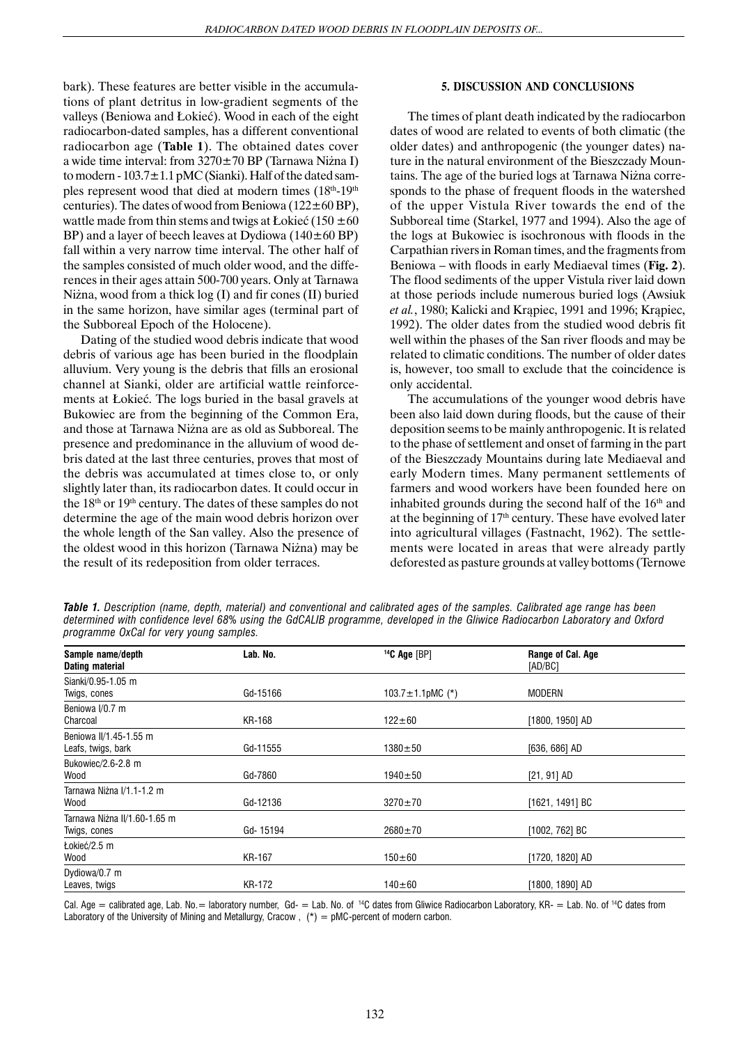bark). These features are better visible in the accumulations of plant detritus in low-gradient segments of the valleys (Beniowa and Łokieć). Wood in each of the eight radiocarbon-dated samples, has a different conventional radiocarbon age (**Table 1**). The obtained dates cover a wide time interval: from  $3270 \pm 70$  BP (Tarnawa Niżna I) to modern -  $103.7 \pm 1.1$  pMC (Sianki). Half of the dated samples represent wood that died at modern times (18<sup>th</sup>-19<sup>th</sup>) centuries). The dates of wood from Beniowa ( $122 \pm 60$  BP), wattle made from thin stems and twigs at Łokieć (150  $\pm 60$ BP) and a layer of beech leaves at Dydiowa  $(140 \pm 60$  BP) fall within a very narrow time interval. The other half of the samples consisted of much older wood, and the differences in their ages attain 500-700 years. Only at Tarnawa Niżna, wood from a thick  $log(I)$  and fir cones  $(II)$  buried in the same horizon, have similar ages (terminal part of the Subboreal Epoch of the Holocene).

Dating of the studied wood debris indicate that wood debris of various age has been buried in the floodplain alluvium. Very young is the debris that fills an erosional channel at Sianki, older are artificial wattle reinforcements at Łokieć. The logs buried in the basal gravels at Bukowiec are from the beginning of the Common Era, and those at Tarnawa Niżna are as old as Subboreal. The presence and predominance in the alluvium of wood debris dated at the last three centuries, proves that most of the debris was accumulated at times close to, or only slightly later than, its radiocarbon dates. It could occur in the 18th or 19th century. The dates of these samples do not determine the age of the main wood debris horizon over the whole length of the San valley. Also the presence of the oldest wood in this horizon (Tarnawa Niżna) may be the result of its redeposition from older terraces.

### **5. DISCUSSION AND CONCLUSIONS**

The times of plant death indicated by the radiocarbon dates of wood are related to events of both climatic (the older dates) and anthropogenic (the younger dates) nature in the natural environment of the Bieszczady Mountains. The age of the buried logs at Tarnawa Ni¿na corresponds to the phase of frequent floods in the watershed of the upper Vistula River towards the end of the Subboreal time (Starkel, 1977 and 1994). Also the age of the logs at Bukowiec is isochronous with floods in the Carpathian rivers in Roman times, and the fragments from Beniowa – with floods in early Mediaeval times (**Fig. 2**). The flood sediments of the upper Vistula river laid down at those periods include numerous buried logs (Awsiuk *et al.*, 1980; Kalicki and Krapiec, 1991 and 1996; Krapiec, 1992). The older dates from the studied wood debris fit well within the phases of the San river floods and may be related to climatic conditions. The number of older dates is, however, too small to exclude that the coincidence is only accidental.

The accumulations of the younger wood debris have been also laid down during floods, but the cause of their deposition seems to be mainly anthropogenic. It is related to the phase of settlement and onset of farming in the part of the Bieszczady Mountains during late Mediaeval and early Modern times. Many permanent settlements of farmers and wood workers have been founded here on inhabited grounds during the second half of the  $16<sup>th</sup>$  and at the beginning of  $17<sup>th</sup>$  century. These have evolved later into agricultural villages (Fastnacht, 1962). The settlements were located in areas that were already partly deforested as pasture grounds at valley bottoms (Ternowe

*Table 1. Description (name, depth, material) and conventional and calibrated ages of the samples. Calibrated age range has been determined with confidence level 68% using the GdCALIB programme, developed in the Gliwice Radiocarbon Laboratory and Oxford programme OxCal for very young samples.*

| Sample name/depth<br><b>Dating material</b> | Lab. No.      | $14C$ Age [BP]         | Range of Cal. Age<br>[AD/BC] |  |
|---------------------------------------------|---------------|------------------------|------------------------------|--|
| Sianki/0.95-1.05 m                          |               |                        |                              |  |
| Twigs, cones                                | Gd-15166      | 103.7 $\pm$ 1.1pMC (*) | <b>MODERN</b>                |  |
| Beniowa I/0.7 m                             |               |                        |                              |  |
| Charcoal                                    | KR-168        | $122 \pm 60$           | [1800, 1950] AD              |  |
| Beniowa II/1.45-1.55 m                      |               |                        |                              |  |
| Leafs, twigs, bark                          | Gd-11555      | $1380 + 50$            | $[636, 686]$ AD              |  |
| Bukowiec/2.6-2.8 m                          |               |                        |                              |  |
| Wood                                        | Gd-7860       | $1940 \pm 50$          | $[21, 91]$ AD                |  |
| Tarnawa Niżna I/1.1-1.2 m                   |               |                        |                              |  |
| Wood                                        | Gd-12136      | $3270 \pm 70$          | [1621, 1491] BC              |  |
| Tarnawa Niżna II/1.60-1.65 m                |               |                        |                              |  |
| Twigs, cones                                | Gd-15194      | $2680 \pm 70$          | [1002, 762] BC               |  |
| Łokieć/2.5 m                                |               |                        |                              |  |
| Wood                                        | <b>KR-167</b> | $150 \pm 60$           | [1720, 1820] AD              |  |
| Dydiowa/0.7 m                               |               |                        |                              |  |
| Leaves, twigs                               | KR-172        | $140 \pm 60$           | [1800, 1890] AD              |  |

Cal. Age = calibrated age, Lab. No. = laboratory number. Gd- = Lab. No. of <sup>14</sup>C dates from Gliwice Radiocarbon Laboratory, KR- = Lab. No. of <sup>14</sup>C dates from Laboratory of the University of Mining and Metallurgy, Cracow,  $(*) = pMC$ -percent of modern carbon.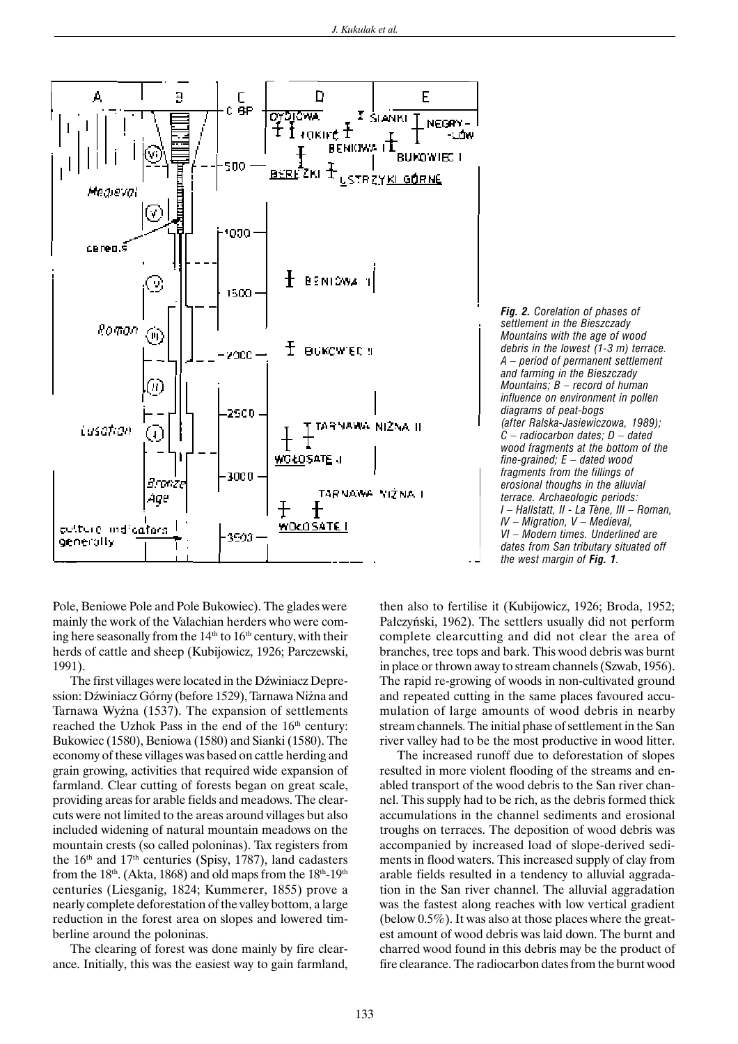

*Fig. 2. Corelation of phases of settlement in the Bieszczady Mountains with the age of wood debris in the lowest (1-3 m) terrace. A – period of permanent settlement and farming in the Bieszczady Mountains; B – record of human influence on environment in pollen diagrams of peat-bogs (after Ralska-Jasiewiczowa, 1989); C – radiocarbon dates; D – dated wood fragments at the bottom of the fine-grained; E – dated wood fragments from the fillings of erosional thoughs in the alluvial terrace. Archaeologic periods: I – Hallstatt, II - La Tène, III – Roman, IV – Migration, V – Medieval, VI – Modern times. Underlined are dates from San tributary situated off the west margin of Fig. 1.*

Pole, Beniowe Pole and Pole Bukowiec). The glades were mainly the work of the Valachian herders who were coming here seasonally from the  $14<sup>th</sup>$  to  $16<sup>th</sup>$  century, with their herds of cattle and sheep (Kubijowicz, 1926; Parczewski, 1991).

The first villages were located in the Dźwiniacz Depression: Dźwiniacz Górny (before 1529), Tarnawa Niżna and Tarnawa Wyżna (1537). The expansion of settlements reached the Uzhok Pass in the end of the 16<sup>th</sup> century: Bukowiec (1580), Beniowa (1580) and Sianki (1580). The economy of these villages was based on cattle herding and grain growing, activities that required wide expansion of farmland. Clear cutting of forests began on great scale, providing areas for arable fields and meadows. The clearcuts were not limited to the areas around villages but also included widening of natural mountain meadows on the mountain crests (so called poloninas). Tax registers from the  $16<sup>th</sup>$  and  $17<sup>th</sup>$  centuries (Spisy, 1787), land cadasters from the 18<sup>th</sup>. (Akta, 1868) and old maps from the 18<sup>th</sup>-19<sup>th</sup> centuries (Liesganig, 1824; Kummerer, 1855) prove a nearly complete deforestation of the valley bottom, a large reduction in the forest area on slopes and lowered timberline around the poloninas.

The clearing of forest was done mainly by fire clearance. Initially, this was the easiest way to gain farmland, then also to fertilise it (Kubijowicz, 1926; Broda, 1952; Pałczyński, 1962). The settlers usually did not perform complete clearcutting and did not clear the area of branches, tree tops and bark. This wood debris was burnt in place or thrown away to stream channels (Szwab, 1956). The rapid re-growing of woods in non-cultivated ground and repeated cutting in the same places favoured accumulation of large amounts of wood debris in nearby stream channels. The initial phase of settlement in the San river valley had to be the most productive in wood litter.

The increased runoff due to deforestation of slopes resulted in more violent flooding of the streams and enabled transport of the wood debris to the San river channel. This supply had to be rich, as the debris formed thick accumulations in the channel sediments and erosional troughs on terraces. The deposition of wood debris was accompanied by increased load of slope-derived sediments in flood waters. This increased supply of clay from arable fields resulted in a tendency to alluvial aggradation in the San river channel. The alluvial aggradation was the fastest along reaches with low vertical gradient (below  $0.5\%$ ). It was also at those places where the greatest amount of wood debris was laid down. The burnt and charred wood found in this debris may be the product of fire clearance. The radiocarbon dates from the burnt wood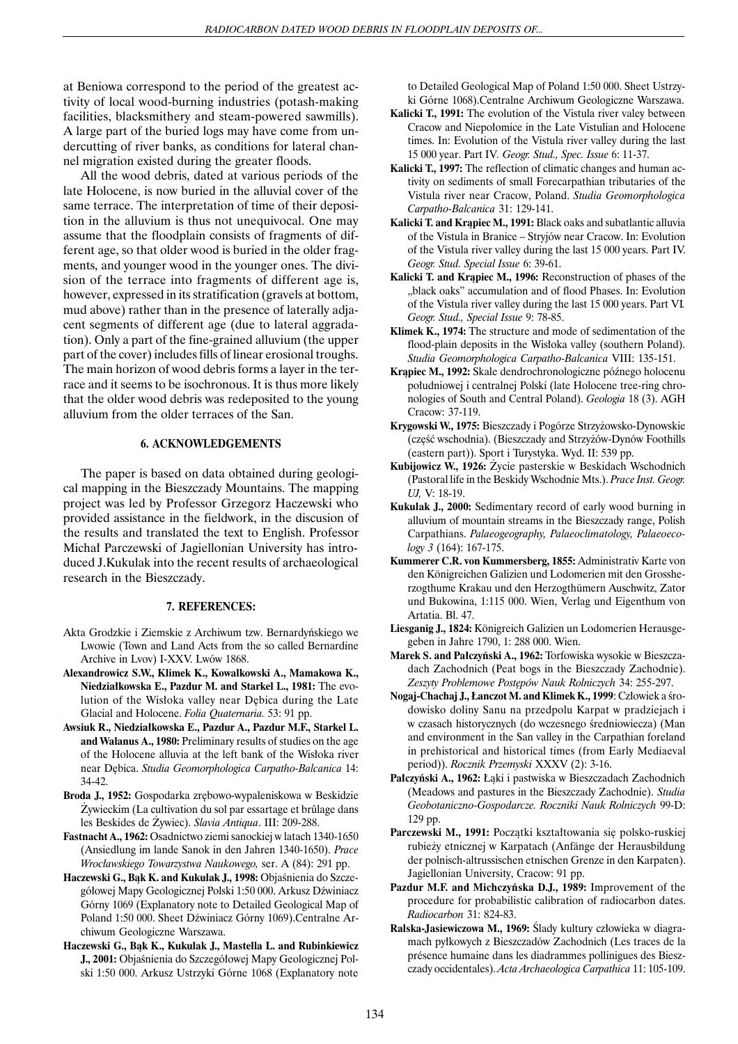at Beniowa correspond to the period of the greatest activity of local wood-burning industries (potash-making facilities, blacksmithery and steam-powered sawmills). A large part of the buried logs may have come from undercutting of river banks, as conditions for lateral channel migration existed during the greater floods.

All the wood debris, dated at various periods of the late Holocene, is now buried in the alluvial cover of the same terrace. The interpretation of time of their deposition in the alluvium is thus not unequivocal. One may assume that the floodplain consists of fragments of different age, so that older wood is buried in the older fragments, and younger wood in the younger ones. The division of the terrace into fragments of different age is, however, expressed in its stratification (gravels at bottom, mud above) rather than in the presence of laterally adjacent segments of different age (due to lateral aggradation). Only a part of the fine-grained alluvium (the upper part of the cover) includes fills of linear erosional troughs. The main horizon of wood debris forms a layer in the terrace and it seems to be isochronous. It is thus more likely that the older wood debris was redeposited to the young alluvium from the older terraces of the San.

#### **6. ACKNOWLEDGEMENTS**

The paper is based on data obtained during geological mapping in the Bieszczady Mountains. The mapping project was led by Professor Grzegorz Haczewski who provided assistance in the fieldwork, in the discusion of the results and translated the text to English. Professor Michał Parczewski of Jagiellonian University has introduced J.Kukulak into the recent results of archaeological research in the Bieszczady.

#### **7. REFERENCES:**

- Akta Grodzkie i Ziemskie z Archiwum tzw. Bernardyñskiego we Lwowie (Town and Land Acts from the so called Bernardine Archive in Lvov) I-XXV. Lwów 1868.
- **Alexandrowicz S.W., Klimek K., Kowalkowski A., Mamakowa K., Niedzia³kowska E., Pazdur M. and Starkel L., 1981:** The evolution of the Wisłoka valley near Dębica during the Late Glacial and Holocene. *Folia Quaternaria.* 53: 91 pp.
- **Awsiuk R., Niedzia³kowska E., Pazdur A., Pazdur M.F., Starkel L. and Walanus A., 1980:** Preliminary results of studies on the age of the Holocene alluvia at the left bank of the Wisłoka river near Dêbica. *Studia Geomorphologica Carpatho-Balcanica* 14: 34-42.
- **Broda J., 1952:** Gospodarka zrêbowo-wypaleniskowa w Beskidzie Zywieckim (La cultivation du sol par essartage et brûlage dans les Beskides de ¯ywiec). *Slavia Antiqua*. III: 209-288.
- **Fastnacht A., 1962:** Osadnictwo ziemi sanockiej w latach 1340-1650 (Ansiedlung im lande Sanok in den Jahren 1340-1650). *Prace Wroc³awskiego Towarzystwa Naukowego,* ser. A (84): 291 pp.
- Haczewski G., Bak K. and Kukulak J., 1998: Objaśnienia do Szczegółowej Mapy Geologicznej Polski 1:50 000. Arkusz Dźwiniacz Górny 1069 (Explanatory note to Detailed Geological Map of Poland 1:50 000. Sheet Dźwiniacz Górny 1069).Centralne Archiwum Geologiczne Warszawa.
- Haczewski G., Bąk K., Kukulak J., Mastella L. and Rubinkiewicz J., 2001: Objaśnienia do Szczegółowej Mapy Geologicznej Polski 1:50 000. Arkusz Ustrzyki Górne 1068 (Explanatory note

to Detailed Geological Map of Poland 1:50 000. Sheet Ustrzyki Górne 1068).Centralne Archiwum Geologiczne Warszawa.

- **Kalicki T., 1991:** The evolution of the Vistula river valey between Cracow and Niepołomice in the Late Vistulian and Holocene times. In: Evolution of the Vistula river valley during the last 15 000 year. Part IV*. Geogr. Stud., Spec. Issue* 6: 11-37.
- **Kalicki T., 1997:** The reflection of climatic changes and human activity on sediments of small Forecarpathian tributaries of the Vistula river near Cracow, Poland. *Studia Geomorphologica Carpatho-Balcanica* 31: 129-141.
- Kalicki T. and Krapiec M., 1991: Black oaks and subatlantic alluvia of the Vistula in Branice – Stryjów near Cracow. In: Evolution of the Vistula river valley during the last 15 000 years. Part IV. *Geogr. Stud. Special Issue* 6: 39-61.
- Kalicki T. and Krapiec M., 1996: Reconstruction of phases of the "black oaks" accumulation and of flood Phases. In: Evolution of the Vistula river valley during the last 15 000 years. Part VI*. Geogr. Stud., Special Issue* 9: 78-85.
- **Klimek K., 1974:** The structure and mode of sedimentation of the flood-plain deposits in the Wisłoka valley (southern Poland). *Studia Geomorphologica Carpatho-Balcanica* VIII: 135-151.
- Krapiec M., 1992: Skale dendrochronologiczne późnego holocenu południowej i centralnej Polski (late Holocene tree-ring chronologies of South and Central Poland). *Geologia* 18 (3). AGH Cracow: 37-119.
- **Krygowski W., 1975:** Bieszczady i Pogórze Strzy¿owsko-Dynowskie (część wschodnia). (Bieszczady and Strzyżów-Dynów Foothills (eastern part)). Sport i Turystyka. Wyd. II: 539 pp.
- Kubijowicz W., 1926: Życie pasterskie w Beskidach Wschodnich (Pastoral life in the Beskidy Wschodnie Mts.). *Prace Inst. Geogr. UJ,* V: 18-19.
- **Kukulak J., 2000:** Sedimentary record of early wood burning in alluvium of mountain streams in the Bieszczady range, Polish Carpathians. *Palaeogeography, Palaeoclimatology, Palaeoecology 3* (164): 167-175.
- **Kummerer C.R. von Kummersberg, 1855:** Administrativ Karte von den Königreichen Galizien und Lodomerien mit den Grossherzogthume Krakau und den Herzogthümern Auschwitz, Zator und Bukowina, 1:115 000. Wien, Verlag und Eigenthum von Artatia. Bl. 47.
- **Liesganig J., 1824:** Königreich Galizien un Lodomerien Herausgegeben in Jahre 1790, 1: 288 000. Wien.
- Marek S. and Pałczyński A., 1962: Torfowiska wysokie w Bieszczadach Zachodnich (Peat bogs in the Bieszczady Zachodnie). *Zeszyty Problemowe Postêpów Nauk Rolniczych* 34: 255-297.
- Nogaj-Chachaj J., Łanczot M. and Klimek K., 1999: Człowiek a środowisko doliny Sanu na przedpolu Karpat w pradziejach i w czasach historycznych (do wczesnego średniowiecza) (Man and environment in the San valley in the Carpathian foreland in prehistorical and historical times (from Early Mediaeval period)). *Rocznik Przemyski* XXXV (2): 3-16.
- Pałczyński A., 1962: Łąki i pastwiska w Bieszczadach Zachodnich (Meadows and pastures in the Bieszczady Zachodnie)*. Studia Geobotaniczno-Gospodarcze. Roczniki Nauk Rolniczych* 99-D: 129 pp.
- Parczewski M., 1991: Początki kształtowania się polsko-ruskiej rubieży etnicznej w Karpatach (Anfänge der Herausbildung der polnisch-altrussischen etnischen Grenze in den Karpaten). Jagiellonian University, Cracow: 91 pp.
- **Pazdur M.F. and Michczyñska D.J., 1989:** Improvement of the procedure for probabilistic calibration of radiocarbon dates. *Radiocarbon* 31: 824-83.
- Ralska-Jasiewiczowa M., 1969: Ślady kultury człowieka w diagramach pyłkowych z Bieszczadów Zachodnich (Les traces de la présence humaine dans les diadrammes pollinigues des Bieszczady occidentales). *Acta Archaeologica Carpathica* 11: 105-109.